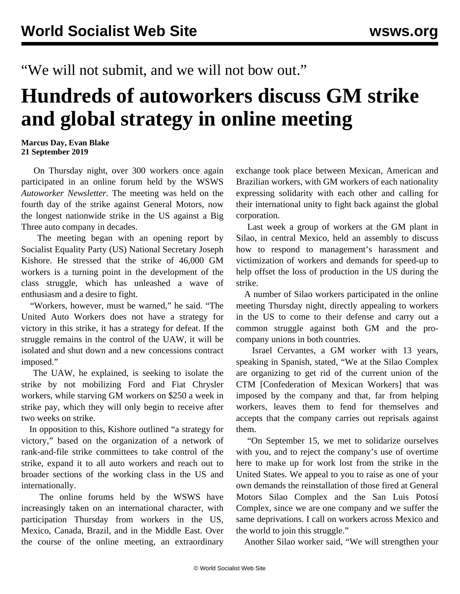"We will not submit, and we will not bow out."

## **Hundreds of autoworkers discuss GM strike and global strategy in online meeting**

## **Marcus Day, Evan Blake 21 September 2019**

 On Thursday night, over 300 workers once again participated in an online forum held by the WSWS *Autoworker Newsletter*. The meeting was held on the fourth day of the strike against General Motors, now the longest nationwide strike in the US against a Big Three auto company in decades.

 The meeting began with an opening report by Socialist Equality Party (US) National Secretary Joseph Kishore. He stressed that the strike of 46,000 GM workers is a turning point in the development of the class struggle, which has unleashed a wave of enthusiasm and a desire to fight.

 "Workers, however, must be warned," he said. "The United Auto Workers does not have a strategy for victory in this strike, it has a strategy for defeat. If the struggle remains in the control of the UAW, it will be isolated and shut down and a new concessions contract imposed."

 The UAW, he explained, is seeking to isolate the strike by not mobilizing Ford and Fiat Chrysler workers, while starving GM workers on \$250 a week in strike pay, which they will only begin to receive after two weeks on strike.

 In opposition to this, Kishore outlined "a strategy for victory," based on the organization of a network of rank-and-file strike committees to take control of the strike, expand it to all auto workers and reach out to broader sections of the working class in the US and internationally.

 The online forums held by the WSWS have increasingly taken on an international character, with participation Thursday from workers in the US, Mexico, Canada, Brazil, and in the Middle East. Over the course of the online meeting, an extraordinary exchange took place between Mexican, American and Brazilian workers, with GM workers of each nationality expressing solidarity with each other and calling for their international unity to fight back against the global corporation.

 Last week a group of workers at the GM plant in Silao, in central Mexico, [held an assembly](/en/articles/2019/09/18/sila-s18.html) to discuss how to respond to management's harassment and victimization of workers and demands for speed-up to help offset the loss of production in the US during the strike.

 A number of Silao workers participated in the online meeting Thursday night, directly appealing to workers in the US to come to their defense and carry out a common struggle against both GM and the procompany unions in both countries.

 Israel Cervantes, a GM worker with 13 years, speaking in Spanish, stated, "We at the Silao Complex are organizing to get rid of the current union of the CTM [Confederation of Mexican Workers] that was imposed by the company and that, far from helping workers, leaves them to fend for themselves and accepts that the company carries out reprisals against them.

 "On September 15, we met to solidarize ourselves with you, and to reject the company's use of overtime here to make up for work lost from the strike in the United States. We appeal to you to raise as one of your own demands the reinstallation of those fired at General Motors Silao Complex and the San Luis Potosí Complex, since we are one company and we suffer the same deprivations. I call on workers across Mexico and the world to join this struggle."

Another Silao worker said, "We will strengthen your